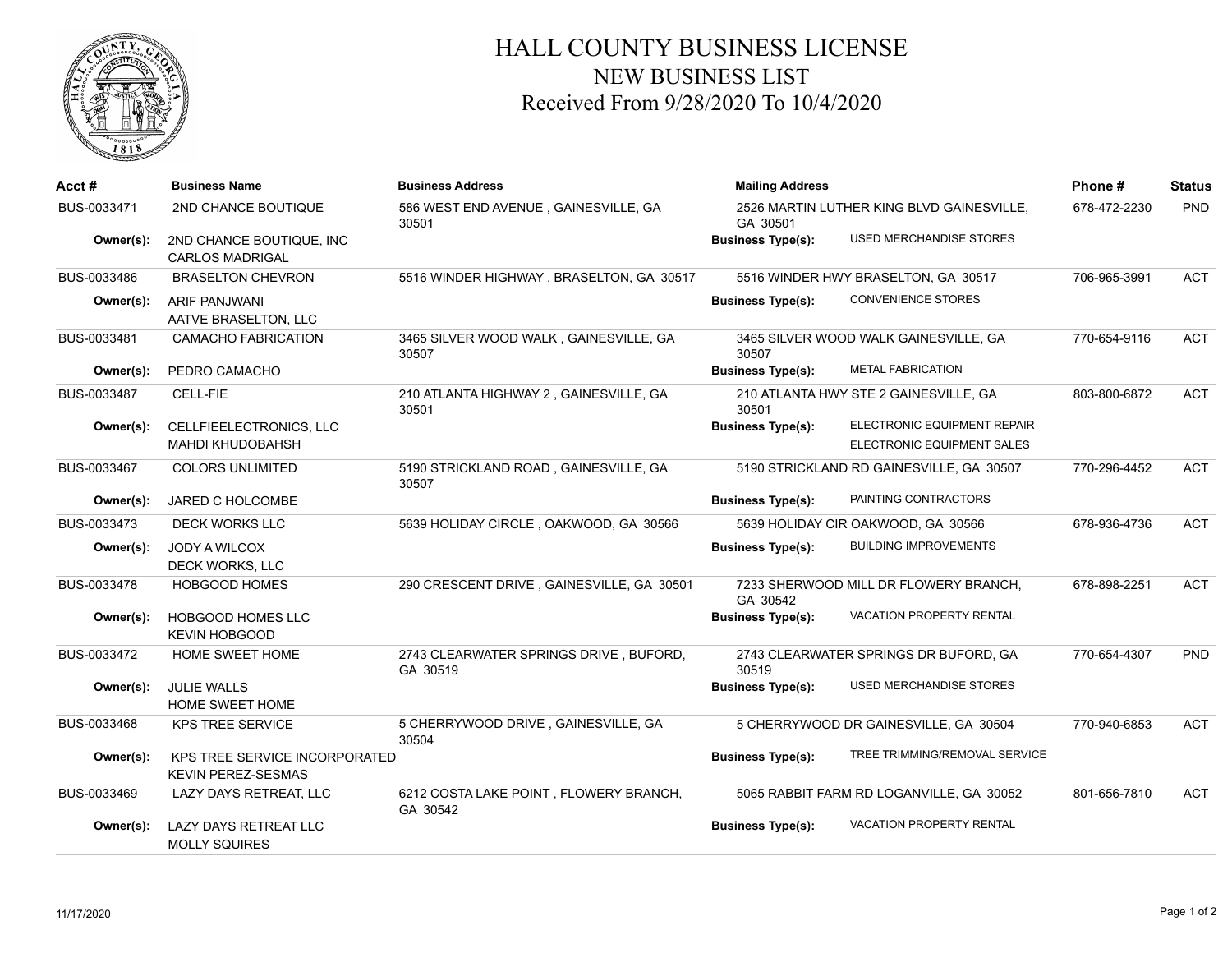

## HALL COUNTY BUSINESS LICENSE NEW BUSINESS LIST Received From 9/28/2020 To 10/4/2020

| Acct#       | <b>Business Name</b>                                              | <b>Business Address</b>                            | <b>Mailing Address</b>                                |                                          | Phone#       | <b>Status</b> |
|-------------|-------------------------------------------------------------------|----------------------------------------------------|-------------------------------------------------------|------------------------------------------|--------------|---------------|
| BUS-0033471 | 2ND CHANCE BOUTIQUE                                               | 586 WEST END AVENUE, GAINESVILLE, GA<br>30501      | 2526 MARTIN LUTHER KING BLVD GAINESVILLE.<br>GA 30501 |                                          | 678-472-2230 | PND           |
| Owner(s):   | 2ND CHANCE BOUTIQUE, INC<br><b>CARLOS MADRIGAL</b>                |                                                    | <b>Business Type(s):</b>                              | USED MERCHANDISE STORES                  |              |               |
| BUS-0033486 | <b>BRASELTON CHEVRON</b>                                          | 5516 WINDER HIGHWAY, BRASELTON, GA 30517           |                                                       | 5516 WINDER HWY BRASELTON, GA 30517      | 706-965-3991 | <b>ACT</b>    |
| Owner(s):   | <b>ARIF PANJWANI</b><br>AATVE BRASELTON, LLC                      |                                                    | <b>Business Type(s):</b>                              | <b>CONVENIENCE STORES</b>                |              |               |
| BUS-0033481 | <b>CAMACHO FABRICATION</b>                                        | 3465 SILVER WOOD WALK, GAINESVILLE, GA<br>30507    | 30507                                                 | 3465 SILVER WOOD WALK GAINESVILLE, GA    | 770-654-9116 | <b>ACT</b>    |
| Owner(s):   | PEDRO CAMACHO                                                     |                                                    | <b>Business Type(s):</b>                              | <b>METAL FABRICATION</b>                 |              |               |
| BUS-0033487 | CELL-FIE                                                          | 210 ATLANTA HIGHWAY 2, GAINESVILLE, GA<br>30501    | 30501                                                 | 210 ATLANTA HWY STE 2 GAINESVILLE, GA    | 803-800-6872 | <b>ACT</b>    |
| Owner(s):   | CELLFIEELECTRONICS, LLC                                           |                                                    | <b>Business Type(s):</b>                              | ELECTRONIC EQUIPMENT REPAIR              |              |               |
|             | <b>MAHDI KHUDOBAHSH</b>                                           |                                                    |                                                       | ELECTRONIC EQUIPMENT SALES               |              |               |
| BUS-0033467 | <b>COLORS UNLIMITED</b>                                           | 5190 STRICKLAND ROAD, GAINESVILLE, GA<br>30507     |                                                       | 5190 STRICKLAND RD GAINESVILLE, GA 30507 | 770-296-4452 | <b>ACT</b>    |
| Owner(s):   | JARED C HOLCOMBE                                                  |                                                    | <b>Business Type(s):</b>                              | PAINTING CONTRACTORS                     |              |               |
| BUS-0033473 | <b>DECK WORKS LLC</b>                                             | 5639 HOLIDAY CIRCLE, OAKWOOD, GA 30566             |                                                       | 5639 HOLIDAY CIR OAKWOOD, GA 30566       | 678-936-4736 | <b>ACT</b>    |
| Owner(s):   | JODY A WILCOX                                                     |                                                    | <b>Business Type(s):</b>                              | <b>BUILDING IMPROVEMENTS</b>             |              |               |
| BUS-0033478 | DECK WORKS, LLC<br><b>HOBGOOD HOMES</b>                           | 290 CRESCENT DRIVE, GAINESVILLE, GA 30501          |                                                       | 7233 SHERWOOD MILL DR FLOWERY BRANCH,    | 678-898-2251 | <b>ACT</b>    |
|             |                                                                   |                                                    | GA 30542                                              |                                          |              |               |
| Owner(s):   | HOBGOOD HOMES LLC<br><b>KEVIN HOBGOOD</b>                         |                                                    | <b>Business Type(s):</b>                              | <b>VACATION PROPERTY RENTAL</b>          |              |               |
| BUS-0033472 | HOME SWEET HOME                                                   | 2743 CLEARWATER SPRINGS DRIVE, BUFORD,<br>GA 30519 | 30519                                                 | 2743 CLEARWATER SPRINGS DR BUFORD, GA    | 770-654-4307 | <b>PND</b>    |
| Owner(s):   | <b>JULIE WALLS</b><br>HOME SWEET HOME                             |                                                    | <b>Business Type(s):</b>                              | <b>USED MERCHANDISE STORES</b>           |              |               |
| BUS-0033468 | <b>KPS TREE SERVICE</b>                                           | 5 CHERRYWOOD DRIVE, GAINESVILLE, GA<br>30504       |                                                       | 5 CHERRYWOOD DR GAINESVILLE, GA 30504    | 770-940-6853 | <b>ACT</b>    |
| Owner(s):   | <b>KPS TREE SERVICE INCORPORATED</b><br><b>KEVIN PEREZ-SESMAS</b> |                                                    | <b>Business Type(s):</b>                              | TREE TRIMMING/REMOVAL SERVICE            |              |               |
| BUS-0033469 | LAZY DAYS RETREAT, LLC                                            | 6212 COSTA LAKE POINT, FLOWERY BRANCH,<br>GA 30542 |                                                       | 5065 RABBIT FARM RD LOGANVILLE, GA 30052 | 801-656-7810 | <b>ACT</b>    |
| Owner(s):   | LAZY DAYS RETREAT LLC<br><b>MOLLY SQUIRES</b>                     |                                                    | <b>Business Type(s):</b>                              | <b>VACATION PROPERTY RENTAL</b>          |              |               |